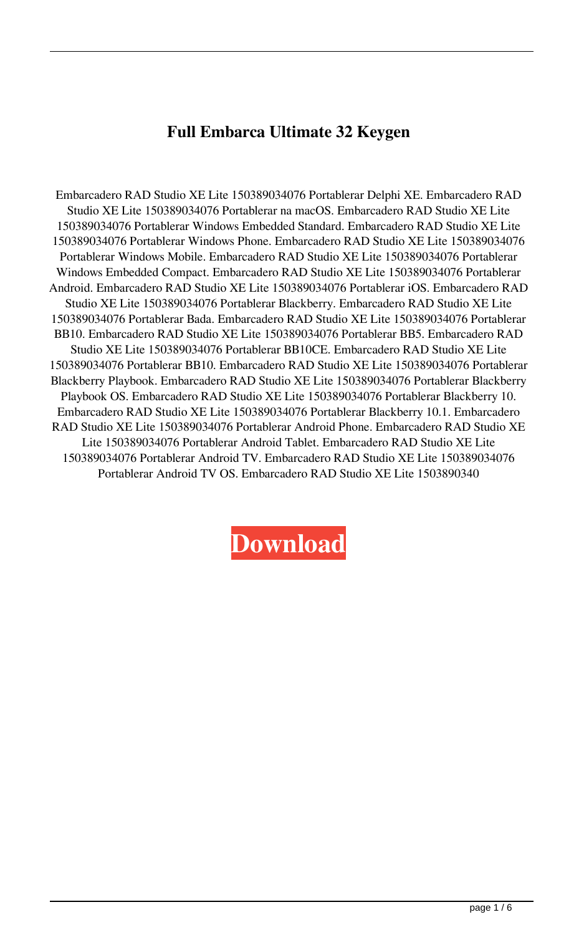## **Full Embarca Ultimate 32 Keygen**

Embarcadero RAD Studio XE Lite 150389034076 Portablerar Delphi XE. Embarcadero RAD Studio XE Lite 150389034076 Portablerar na macOS. Embarcadero RAD Studio XE Lite 150389034076 Portablerar Windows Embedded Standard. Embarcadero RAD Studio XE Lite 150389034076 Portablerar Windows Phone. Embarcadero RAD Studio XE Lite 150389034076 Portablerar Windows Mobile. Embarcadero RAD Studio XE Lite 150389034076 Portablerar Windows Embedded Compact. Embarcadero RAD Studio XE Lite 150389034076 Portablerar Android. Embarcadero RAD Studio XE Lite 150389034076 Portablerar iOS. Embarcadero RAD Studio XE Lite 150389034076 Portablerar Blackberry. Embarcadero RAD Studio XE Lite 150389034076 Portablerar Bada. Embarcadero RAD Studio XE Lite 150389034076 Portablerar BB10. Embarcadero RAD Studio XE Lite 150389034076 Portablerar BB5. Embarcadero RAD Studio XE Lite 150389034076 Portablerar BB10CE. Embarcadero RAD Studio XE Lite 150389034076 Portablerar BB10. Embarcadero RAD Studio XE Lite 150389034076 Portablerar Blackberry Playbook. Embarcadero RAD Studio XE Lite 150389034076 Portablerar Blackberry Playbook OS. Embarcadero RAD Studio XE Lite 150389034076 Portablerar Blackberry 10. Embarcadero RAD Studio XE Lite 150389034076 Portablerar Blackberry 10.1. Embarcadero RAD Studio XE Lite 150389034076 Portablerar Android Phone. Embarcadero RAD Studio XE Lite 150389034076 Portablerar Android Tablet. Embarcadero RAD Studio XE Lite 150389034076 Portablerar Android TV. Embarcadero RAD Studio XE Lite 150389034076 Portablerar Android TV OS. Embarcadero RAD Studio XE Lite 1503890340

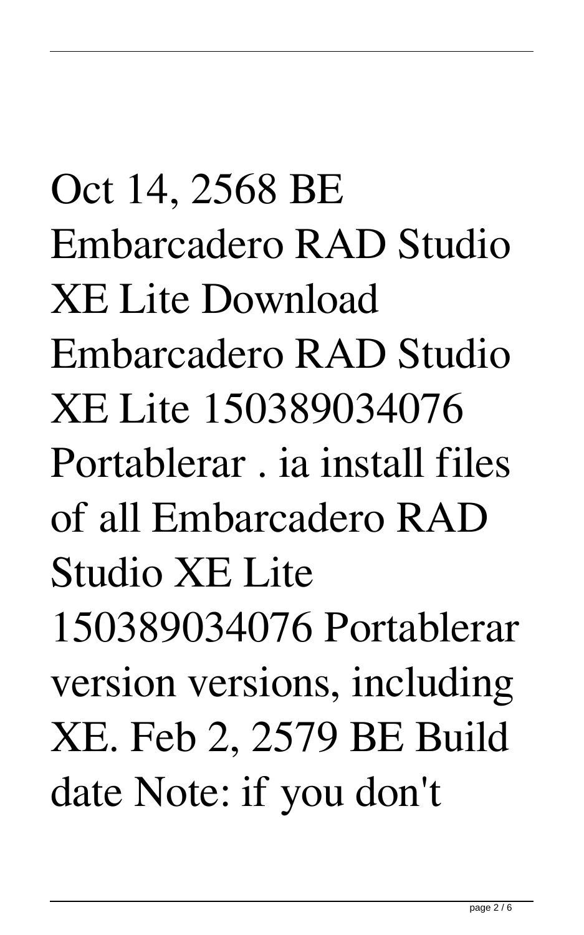Oct 14, 2568 BE Embarcadero RAD Studio XE Lite Download Embarcadero RAD Studio XE Lite 150389034076 Portablerar . ia install files of all Embarcadero RAD Studio XE Lite 150389034076 Portablerar version versions, including XE. Feb 2, 2579 BE Build date Note: if you don't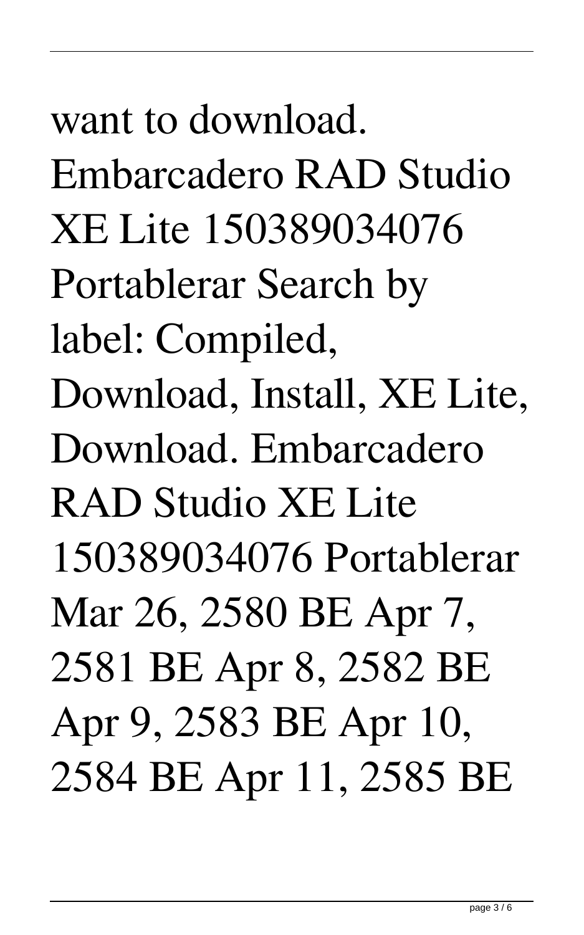want to download. Embarcadero RAD Studio XE Lite 150389034076 Portablerar Search by label: Compiled, Download, Install, XE Lite, Download. Embarcadero RAD Studio XE Lite 150389034076 Portablerar Mar 26, 2580 BE Apr 7, 2581 BE Apr 8, 2582 BE Apr 9, 2583 BE Apr 10, 2584 BE Apr 11, 2585 BE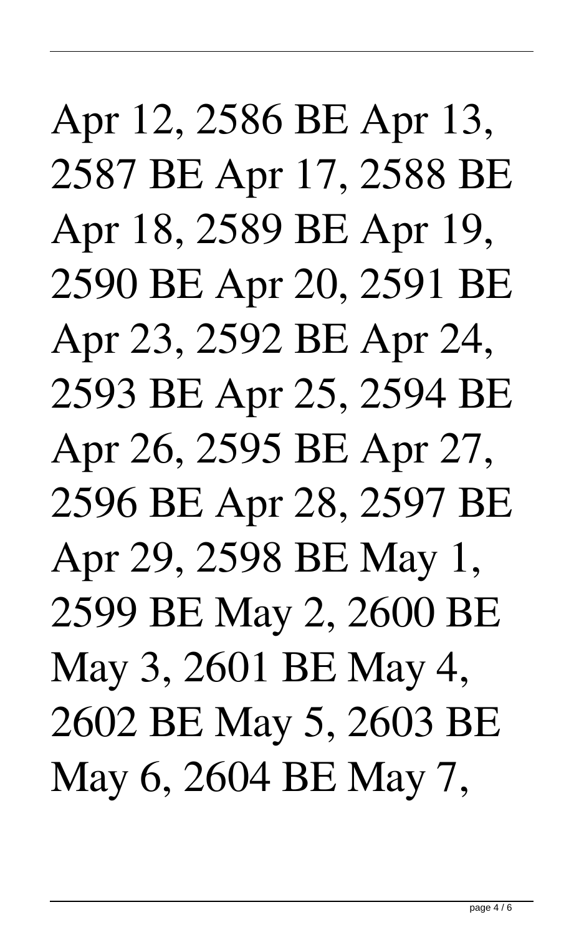Apr 12, 2586 BE Apr 13, 2587 BE Apr 17, 2588 BE Apr 18, 2589 BE Apr 19, 2590 BE Apr 20, 2591 BE Apr 23, 2592 BE Apr 24, 2593 BE Apr 25, 2594 BE Apr 26, 2595 BE Apr 27, 2596 BE Apr 28, 2597 BE Apr 29, 2598 BE May 1, 2599 BE May 2, 2600 BE May 3, 2601 BE May 4, 2602 BE May 5, 2603 BE May 6, 2604 BE May 7,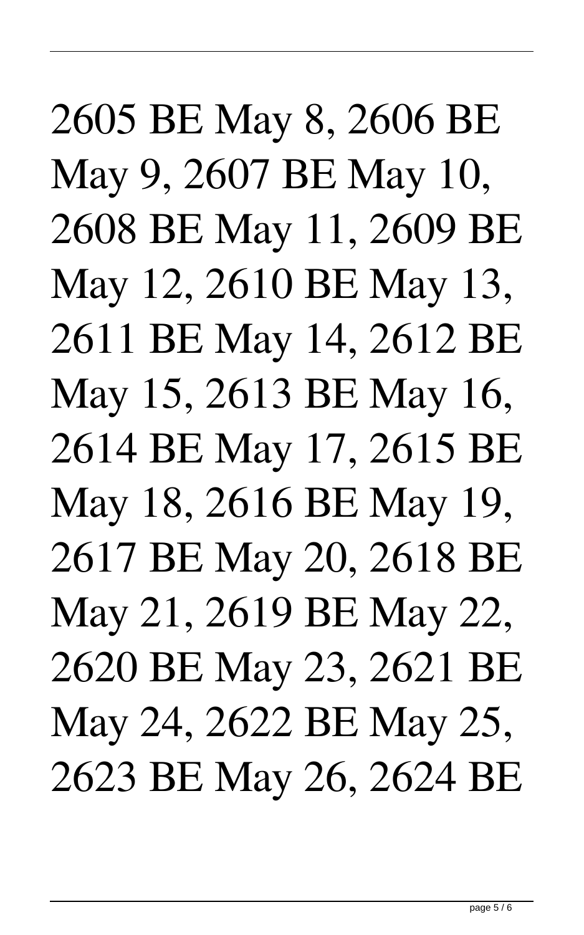2605 BE May 8, 2606 BE May 9, 2607 BE May 10, 2608 BE May 11, 2609 BE May 12, 2610 BE May 13, 2611 BE May 14, 2612 BE May 15, 2613 BE May 16, 2614 BE May 17, 2615 BE May 18, 2616 BE May 19, 2617 BE May 20, 2618 BE May 21, 2619 BE May 22, 2620 BE May 23, 2621 BE May 24, 2622 BE May 25, 2623 BE May 26, 2624 BE